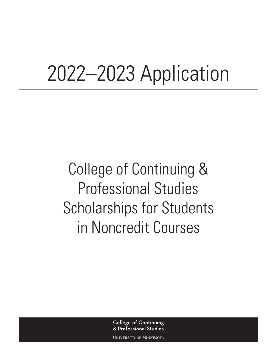# 2022–2023 Application

College of Continuing & Professional Studies Scholarships for Students in Noncredit Courses

> **College of Continuing** & Professional Studies

UNIVERSITY OF MINNESOTA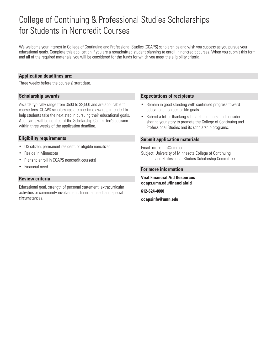## College of Continuing & Professional Studies Scholarships for Students in Noncredit Courses

We welcome your interest in College of Continuing and Professional Studies (CCAPS) scholarships and wish you success as you pursue your educational goals. Complete this application if you are a nonadmitted student planning to enroll in noncredit courses. When you submit this form and all of the required materials, you will be considered for the funds for which you meet the eligibility criteria.

### **Application deadlines are:**

Three weeks before the course(s) start date.

### **Scholarship awards**

Awards typically range from \$500 to \$2,500 and are applicable to course fees. CCAPS scholarships are one-time awards, intended to help students take the next step in pursuing their educational goals. Applicants will be notified of the Scholarship Committee's decision within three weeks of the application deadline.

### **Eligibility requirements**

- US citizen, permanent resident, or eligible noncitizen
- Reside in Minnesota
- Plans to enroll in CCAPS noncredit course(s)
- Financial need

### **Review criteria**

Educational goal, strength of personal statement, extracurricular activities or community involvement, financial need, and special circumstances.

### **Expectations of recipients**

- Remain in good standing with continued progress toward educational, career, or life goals.
- Submit a letter thanking scholarship donors, and consider sharing your story to promote the College of Continuing and Professional Studies and its scholarship programs.

### **Submit application materials**

Email: ccapsinfo@umn.edu

Subject: University of Minnesota College of Continuing and Professional Studies Scholarship Committee

#### **For more information**

**Visit Financial Aid Resources ccaps.umn.edu/financialaid**

**612-624-4000**

**ccapsinfo@umn.edu**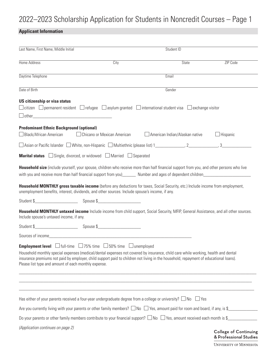## 2022–2023 Scholarship Application for Students in Noncredit Courses – Page 1

### **Applicant Information**

| Last Name, First Name, Middle Initial                                            |                                                                                                 | Student ID                                                                                                                                                                                                                                                                                                                                                                                                                                                                                                       |                                                        |
|----------------------------------------------------------------------------------|-------------------------------------------------------------------------------------------------|------------------------------------------------------------------------------------------------------------------------------------------------------------------------------------------------------------------------------------------------------------------------------------------------------------------------------------------------------------------------------------------------------------------------------------------------------------------------------------------------------------------|--------------------------------------------------------|
| Home Address                                                                     | City                                                                                            | <b>State</b>                                                                                                                                                                                                                                                                                                                                                                                                                                                                                                     | ZIP Code                                               |
| Daytime Telephone                                                                |                                                                                                 | Email                                                                                                                                                                                                                                                                                                                                                                                                                                                                                                            |                                                        |
| Date of Birth                                                                    |                                                                                                 | Gender                                                                                                                                                                                                                                                                                                                                                                                                                                                                                                           |                                                        |
| <b>US citizenship or visa status</b>                                             |                                                                                                 | $\Box$ citizen $\Box$ permanent resident $\Box$ refugee $\Box$ asylum granted $\Box$ international student visa $\Box$ exchange visitor                                                                                                                                                                                                                                                                                                                                                                          |                                                        |
| <b>Predominant Ethnic Background (optional)</b><br>$\Box$ Black/African American | $\Box$ Chicano or Mexican American                                                              | American Indian/Alaskan native                                                                                                                                                                                                                                                                                                                                                                                                                                                                                   | $\Box$ Hispanic                                        |
|                                                                                  |                                                                                                 |                                                                                                                                                                                                                                                                                                                                                                                                                                                                                                                  |                                                        |
|                                                                                  | <b>Marital status</b> $\Box$ Single, divorced, or widowed $\Box$ Married $\Box$ Separated       |                                                                                                                                                                                                                                                                                                                                                                                                                                                                                                                  |                                                        |
|                                                                                  | unemployment benefits, interest, dividends, and other sources. Include spouse's income, if any. | Household MONTHLY gross taxable income (before any deductions for taxes, Social Security, etc.) Include income from employment,<br>Household MONTHLY untaxed income Include income from child support, Social Security, MFIP, General Assistance, and all other sources.                                                                                                                                                                                                                                         |                                                        |
| Include spouse's untaxed income, if any.                                         |                                                                                                 |                                                                                                                                                                                                                                                                                                                                                                                                                                                                                                                  |                                                        |
|                                                                                  |                                                                                                 |                                                                                                                                                                                                                                                                                                                                                                                                                                                                                                                  |                                                        |
| Please list type and amount of each monthly expense.                             | <b>Employment level</b> □ full-time □ 75% time □ 50% time □ unemployed                          | Household monthly special expenses (medical/dental expenses not covered by insurance, child care while working, health and dental<br>insurance premiums not paid by employer, child support paid to children not living in the household, repayment of educational loans).                                                                                                                                                                                                                                       |                                                        |
|                                                                                  |                                                                                                 | <u>and the contract of the contract of the contract of the contract of the contract of the contract of the contract of the contract of the contract of the contract of the contract of the contract of the contract of the contr</u><br>Has either of your parents received a four-year undergraduate degree from a college or university? $\square$ No $\square$ Yes<br>Are you currently living with your parents or other family members? $\Box$ No $\Box$ Yes, amount paid for room and board, if any, is \$ |                                                        |
|                                                                                  |                                                                                                 | Do your parents or other family members contribute to your financial support? $\Box$ No $\Box$ Yes, amount received each month is \$                                                                                                                                                                                                                                                                                                                                                                             |                                                        |
| (Application continues on page 2)                                                |                                                                                                 |                                                                                                                                                                                                                                                                                                                                                                                                                                                                                                                  | <b>College of Continuing</b><br>& Professional Studies |

UNIVERSITY OF MINNESOTA